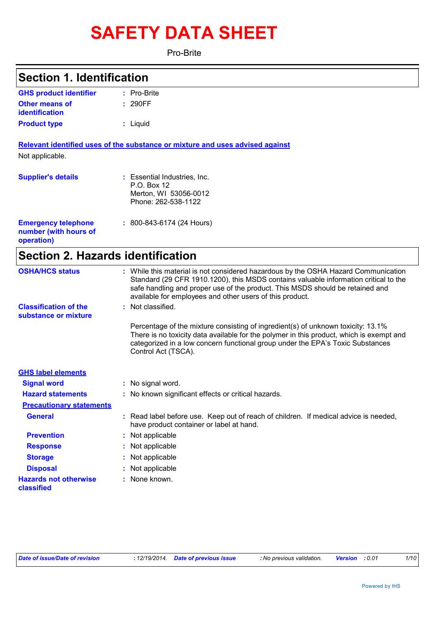# **SAFETY DATA SHEET**

Pro-Brite

## **Section 1. Identification**

| <b>GHS product identifier</b> | $:$ Pro-Brite |
|-------------------------------|---------------|
| <b>Other means of</b>         | : 290FF       |
| identification                |               |
| <b>Product type</b>           | : Liguid      |

**Relevant identified uses of the substance or mixture and uses advised against** Not applicable.

| <b>Supplier's details</b>                                         | : Essential Industries, Inc.<br>P.O. Box 12<br>Merton, WI 53056-0012<br>Phone: 262-538-1122 |
|-------------------------------------------------------------------|---------------------------------------------------------------------------------------------|
| <b>Emergency telephone</b><br>number (with hours of<br>operation) | $: 800 - 843 - 6174$ (24 Hours)                                                             |

## **Section 2. Hazards identification**

| <b>OSHA/HCS status</b>                               | : While this material is not considered hazardous by the OSHA Hazard Communication<br>Standard (29 CFR 1910.1200), this MSDS contains valuable information critical to the<br>safe handling and proper use of the product. This MSDS should be retained and<br>available for employees and other users of this product. |
|------------------------------------------------------|-------------------------------------------------------------------------------------------------------------------------------------------------------------------------------------------------------------------------------------------------------------------------------------------------------------------------|
| <b>Classification of the</b><br>substance or mixture | : Not classified.                                                                                                                                                                                                                                                                                                       |
|                                                      | Percentage of the mixture consisting of ingredient(s) of unknown toxicity: 13.1%<br>There is no toxicity data available for the polymer in this product, which is exempt and<br>categorized in a low concern functional group under the EPA's Toxic Substances<br>Control Act (TSCA).                                   |
| <b>GHS label elements</b>                            |                                                                                                                                                                                                                                                                                                                         |
| <b>Signal word</b>                                   | : No signal word.                                                                                                                                                                                                                                                                                                       |
| <b>Hazard statements</b>                             | : No known significant effects or critical hazards.                                                                                                                                                                                                                                                                     |
| <b>Precautionary statements</b>                      |                                                                                                                                                                                                                                                                                                                         |
| <b>General</b>                                       | : Read label before use. Keep out of reach of children. If medical advice is needed,<br>have product container or label at hand.                                                                                                                                                                                        |
| <b>Prevention</b>                                    | : Not applicable                                                                                                                                                                                                                                                                                                        |
| <b>Response</b>                                      | : Not applicable                                                                                                                                                                                                                                                                                                        |
| <b>Storage</b>                                       | : Not applicable                                                                                                                                                                                                                                                                                                        |
| <b>Disposal</b>                                      | : Not applicable                                                                                                                                                                                                                                                                                                        |
| <b>Hazards not otherwise</b><br>classified           | : None known.                                                                                                                                                                                                                                                                                                           |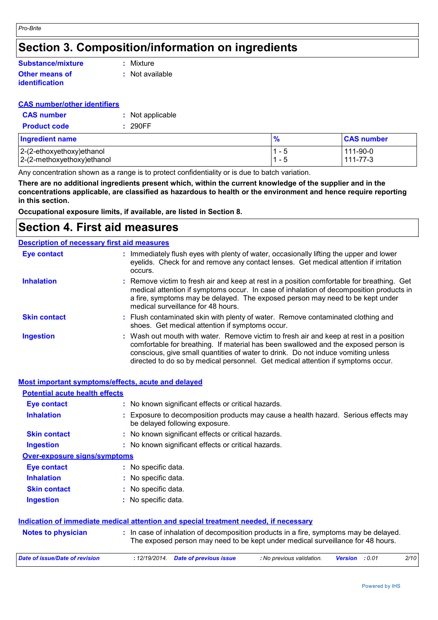## **Section 3. Composition/information on ingredients**

### **Other means of identification Substance/mixture**

**:** Mixture

**:** Not available

### **CAS number/other identifiers**

| <b>CAS</b> number   | : Not applicable |
|---------------------|------------------|
| <b>Product code</b> | : 290FF          |

| <b>Ingredient name</b>        | $\frac{9}{6}$ | <b>CAS number</b> |
|-------------------------------|---------------|-------------------|
| $ 2-(2-ethoxyethoxy)$ ethanol | 1 - 5         | 111-90-0          |
| 2-(2-methoxyethoxy) ethanol   | i 1 - 5       | 111-77-3          |

Any concentration shown as a range is to protect confidentiality or is due to batch variation.

**There are no additional ingredients present which, within the current knowledge of the supplier and in the concentrations applicable, are classified as hazardous to health or the environment and hence require reporting in this section.**

**Occupational exposure limits, if available, are listed in Section 8.**

## **Section 4. First aid measures**

|                     | <b>Description of necessary first aid measures</b>                                                                                                                                                                                                                                                                                                     |
|---------------------|--------------------------------------------------------------------------------------------------------------------------------------------------------------------------------------------------------------------------------------------------------------------------------------------------------------------------------------------------------|
| <b>Eye contact</b>  | : Immediately flush eyes with plenty of water, occasionally lifting the upper and lower<br>eyelids. Check for and remove any contact lenses. Get medical attention if irritation<br>occurs.                                                                                                                                                            |
| <b>Inhalation</b>   | : Remove victim to fresh air and keep at rest in a position comfortable for breathing. Get<br>medical attention if symptoms occur. In case of inhalation of decomposition products in<br>a fire, symptoms may be delayed. The exposed person may need to be kept under<br>medical surveillance for 48 hours.                                           |
| <b>Skin contact</b> | : Flush contaminated skin with plenty of water. Remove contaminated clothing and<br>shoes. Get medical attention if symptoms occur.                                                                                                                                                                                                                    |
| <b>Ingestion</b>    | : Wash out mouth with water. Remove victim to fresh air and keep at rest in a position<br>comfortable for breathing. If material has been swallowed and the exposed person is<br>conscious, give small quantities of water to drink. Do not induce vomiting unless<br>directed to do so by medical personnel. Get medical attention if symptoms occur. |

|                                       | <b>Most important symptoms/effects, acute and delayed</b>                                                                                                                |
|---------------------------------------|--------------------------------------------------------------------------------------------------------------------------------------------------------------------------|
| <b>Potential acute health effects</b> |                                                                                                                                                                          |
| Eye contact                           | : No known significant effects or critical hazards.                                                                                                                      |
| <b>Inhalation</b>                     | Exposure to decomposition products may cause a health hazard. Serious effects may<br>÷<br>be delayed following exposure.                                                 |
| <b>Skin contact</b>                   | : No known significant effects or critical hazards.                                                                                                                      |
| <b>Ingestion</b>                      | : No known significant effects or critical hazards.                                                                                                                      |
| <b>Over-exposure signs/symptoms</b>   |                                                                                                                                                                          |
| <b>Eye contact</b>                    | : No specific data.                                                                                                                                                      |
| <b>Inhalation</b>                     | : No specific data.                                                                                                                                                      |
| <b>Skin contact</b>                   | : No specific data.                                                                                                                                                      |
| <b>Ingestion</b>                      | : No specific data.                                                                                                                                                      |
|                                       | Indication of immediate medical attention and special treatment needed, if necessary                                                                                     |
| <b>Notes to physician</b>             | : In case of inhalation of decomposition products in a fire, symptoms may be delayed.<br>The exposed person may need to be kept under medical surveillance for 48 hours. |
| <b>Date of issue/Date of revision</b> | 2/10<br>: 12/19/2014.<br><b>Date of previous issue</b><br>: No previous validation.<br>: 0.01<br><b>Version</b>                                                          |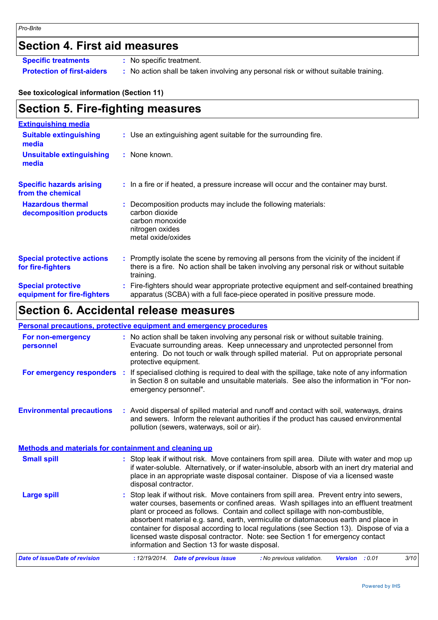## **Section 4. First aid measures**

**Specific treatments :** No specific treatment.

**Protection of first-aiders :** No action shall be taken involving any personal risk or without suitable training.

### **See toxicological information (Section 11)**

| <b>Section 5. Fire-fighting measures</b>                 |                                                                                                                                                                                                   |
|----------------------------------------------------------|---------------------------------------------------------------------------------------------------------------------------------------------------------------------------------------------------|
| <b>Extinguishing media</b>                               |                                                                                                                                                                                                   |
| <b>Suitable extinguishing</b><br>media                   | : Use an extinguishing agent suitable for the surrounding fire.                                                                                                                                   |
| <b>Unsuitable extinguishing</b><br>media                 | : None known.                                                                                                                                                                                     |
| <b>Specific hazards arising</b><br>from the chemical     | : In a fire or if heated, a pressure increase will occur and the container may burst.                                                                                                             |
| <b>Hazardous thermal</b><br>decomposition products       | Decomposition products may include the following materials:<br>carbon dioxide<br>carbon monoxide<br>nitrogen oxides<br>metal oxide/oxides                                                         |
| <b>Special protective actions</b><br>for fire-fighters   | Promptly isolate the scene by removing all persons from the vicinity of the incident if<br>there is a fire. No action shall be taken involving any personal risk or without suitable<br>training. |
| <b>Special protective</b><br>equipment for fire-fighters | Fire-fighters should wear appropriate protective equipment and self-contained breathing<br>apparatus (SCBA) with a full face-piece operated in positive pressure mode.                            |

## **Section 6. Accidental release measures**

|                                                              | <b>Personal precautions, protective equipment and emergency procedures</b>                                                                                                                                                                                                                                                                                                                                                                                                                                                                                                                 |  |
|--------------------------------------------------------------|--------------------------------------------------------------------------------------------------------------------------------------------------------------------------------------------------------------------------------------------------------------------------------------------------------------------------------------------------------------------------------------------------------------------------------------------------------------------------------------------------------------------------------------------------------------------------------------------|--|
| For non-emergency<br>personnel                               | : No action shall be taken involving any personal risk or without suitable training.<br>Evacuate surrounding areas. Keep unnecessary and unprotected personnel from<br>entering. Do not touch or walk through spilled material. Put on appropriate personal<br>protective equipment.                                                                                                                                                                                                                                                                                                       |  |
|                                                              | For emergency responders : If specialised clothing is required to deal with the spillage, take note of any information<br>in Section 8 on suitable and unsuitable materials. See also the information in "For non-<br>emergency personnel".                                                                                                                                                                                                                                                                                                                                                |  |
| <b>Environmental precautions</b>                             | : Avoid dispersal of spilled material and runoff and contact with soil, waterways, drains<br>and sewers. Inform the relevant authorities if the product has caused environmental<br>pollution (sewers, waterways, soil or air).                                                                                                                                                                                                                                                                                                                                                            |  |
| <b>Methods and materials for containment and cleaning up</b> |                                                                                                                                                                                                                                                                                                                                                                                                                                                                                                                                                                                            |  |
| <b>Small spill</b>                                           | : Stop leak if without risk. Move containers from spill area. Dilute with water and mop up<br>if water-soluble. Alternatively, or if water-insoluble, absorb with an inert dry material and<br>place in an appropriate waste disposal container. Dispose of via a licensed waste<br>disposal contractor.                                                                                                                                                                                                                                                                                   |  |
| <b>Large spill</b>                                           | : Stop leak if without risk. Move containers from spill area. Prevent entry into sewers,<br>water courses, basements or confined areas. Wash spillages into an effluent treatment<br>plant or proceed as follows. Contain and collect spillage with non-combustible,<br>absorbent material e.g. sand, earth, vermiculite or diatomaceous earth and place in<br>container for disposal according to local regulations (see Section 13). Dispose of via a<br>licensed waste disposal contractor. Note: see Section 1 for emergency contact<br>information and Section 13 for waste disposal. |  |
| <b>Date of issue/Date of revision</b>                        | 3/10<br>: 12/19/2014. Date of previous issue<br>: No previous validation.<br>Version : 0.01                                                                                                                                                                                                                                                                                                                                                                                                                                                                                                |  |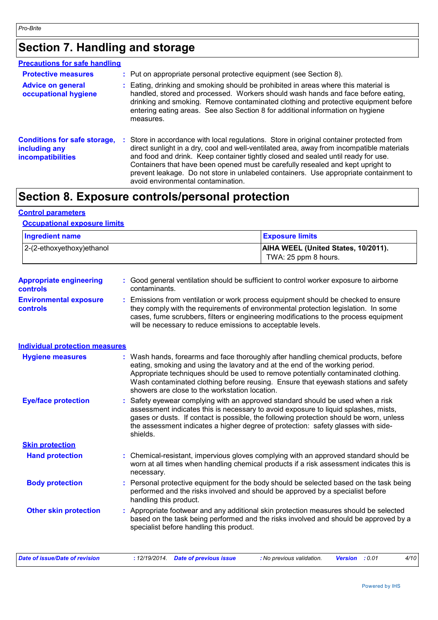## **Section 7. Handling and storage**

| <b>Precautions for safe handling</b>                                             |                                                                                                                                                                                                                                                                                                                                                                                                                                                                                            |
|----------------------------------------------------------------------------------|--------------------------------------------------------------------------------------------------------------------------------------------------------------------------------------------------------------------------------------------------------------------------------------------------------------------------------------------------------------------------------------------------------------------------------------------------------------------------------------------|
| <b>Protective measures</b>                                                       | : Put on appropriate personal protective equipment (see Section 8).                                                                                                                                                                                                                                                                                                                                                                                                                        |
| <b>Advice on general</b><br>occupational hygiene                                 | : Eating, drinking and smoking should be prohibited in areas where this material is<br>handled, stored and processed. Workers should wash hands and face before eating,<br>drinking and smoking. Remove contaminated clothing and protective equipment before<br>entering eating areas. See also Section 8 for additional information on hygiene<br>measures.                                                                                                                              |
| <b>Conditions for safe storage,</b><br>including any<br><b>incompatibilities</b> | Store in accordance with local regulations. Store in original container protected from<br>direct sunlight in a dry, cool and well-ventilated area, away from incompatible materials<br>and food and drink. Keep container tightly closed and sealed until ready for use.<br>Containers that have been opened must be carefully resealed and kept upright to<br>prevent leakage. Do not store in unlabeled containers. Use appropriate containment to<br>avoid environmental contamination. |

## **Section 8. Exposure controls/personal protection**

### **Control parameters**

### **Occupational exposure limits**

| <b>Ingredient name</b>        | <b>Exposure limits</b>                                             |
|-------------------------------|--------------------------------------------------------------------|
| $ 2-(2-ethoxyethoxy)e$ thanol | <b>AIHA WEEL (United States, 10/2011).</b><br>TWA: 25 ppm 8 hours. |

| <b>Appropriate engineering</b><br>controls | : Good general ventilation should be sufficient to control worker exposure to airborne<br>contaminants. |
|--------------------------------------------|---------------------------------------------------------------------------------------------------------|
| <b>Environmental exposure</b>              | : Emissions from ventilation or work process equipment should be checked to ensure                      |

```
controls
                      they comply with the requirements of environmental protection legislation. In some 
                      cases, fume scrubbers, filters or engineering modifications to the process equipment 
                      will be necessary to reduce emissions to acceptable levels.
```
### **Individual protection measures**

| <b>Hygiene measures</b>      | : Wash hands, forearms and face thoroughly after handling chemical products, before<br>eating, smoking and using the lavatory and at the end of the working period.<br>Appropriate techniques should be used to remove potentially contaminated clothing.<br>Wash contaminated clothing before reusing. Ensure that eyewash stations and safety<br>showers are close to the workstation location. |
|------------------------------|---------------------------------------------------------------------------------------------------------------------------------------------------------------------------------------------------------------------------------------------------------------------------------------------------------------------------------------------------------------------------------------------------|
| <b>Eye/face protection</b>   | : Safety eyewear complying with an approved standard should be used when a risk<br>assessment indicates this is necessary to avoid exposure to liquid splashes, mists,<br>gases or dusts. If contact is possible, the following protection should be worn, unless<br>the assessment indicates a higher degree of protection: safety glasses with side-<br>shields.                                |
| <b>Skin protection</b>       |                                                                                                                                                                                                                                                                                                                                                                                                   |
| <b>Hand protection</b>       | : Chemical-resistant, impervious gloves complying with an approved standard should be<br>worn at all times when handling chemical products if a risk assessment indicates this is<br>necessary.                                                                                                                                                                                                   |
| <b>Body protection</b>       | : Personal protective equipment for the body should be selected based on the task being<br>performed and the risks involved and should be approved by a specialist before<br>handling this product.                                                                                                                                                                                               |
| <b>Other skin protection</b> | : Appropriate footwear and any additional skin protection measures should be selected<br>based on the task being performed and the risks involved and should be approved by a<br>specialist before handling this product.                                                                                                                                                                         |

| : 12/19/2014. Date of previous issue<br><b>Version</b> :0.01 | Date of issue/Date of revision |  |  | : No previous validation. |  |  | 4/10 |
|--------------------------------------------------------------|--------------------------------|--|--|---------------------------|--|--|------|
|--------------------------------------------------------------|--------------------------------|--|--|---------------------------|--|--|------|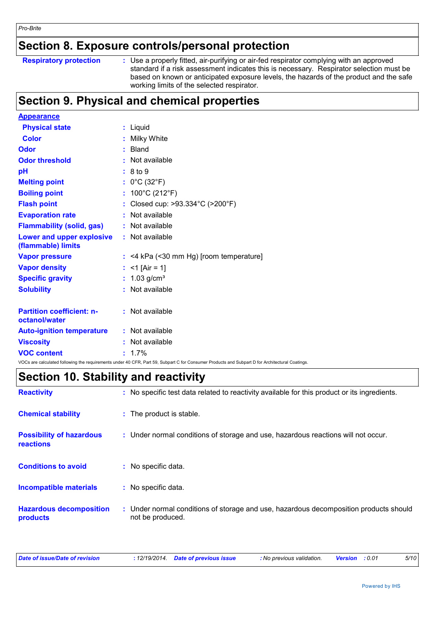## **Section 8. Exposure controls/personal protection**

| <b>Respiratory protection</b> |  |
|-------------------------------|--|
|                               |  |

**Respiratory protection** : Use a properly fitted, air-purifying or air-fed respirator complying with an approved standard if a risk assessment indicates this is necessary. Respirator selection must be based on known or anticipated exposure levels, the hazards of the product and the safe working limits of the selected respirator.

## **Section 9. Physical and chemical properties**

| <b>Appearance</b>                                 |                                                                                                                                                 |  |
|---------------------------------------------------|-------------------------------------------------------------------------------------------------------------------------------------------------|--|
| <b>Physical state</b>                             | : Liquid                                                                                                                                        |  |
| <b>Color</b>                                      | : Milky White                                                                                                                                   |  |
| Odor                                              | $:$ Bland                                                                                                                                       |  |
| <b>Odor threshold</b>                             | : Not available                                                                                                                                 |  |
| pH                                                | : 8 to 9                                                                                                                                        |  |
| <b>Melting point</b>                              | : $0^{\circ}$ C (32 $^{\circ}$ F)                                                                                                               |  |
| <b>Boiling point</b>                              | : $100^{\circ}$ C (212 $^{\circ}$ F)                                                                                                            |  |
| <b>Flash point</b>                                | : Closed cup: >93.334°C (>200°F)                                                                                                                |  |
| <b>Evaporation rate</b>                           | : Not available                                                                                                                                 |  |
| <b>Flammability (solid, gas)</b>                  | : Not available                                                                                                                                 |  |
| Lower and upper explosive<br>(flammable) limits   | : Not available                                                                                                                                 |  |
| <b>Vapor pressure</b>                             | $:$ <4 kPa (<30 mm Hg) [room temperature]                                                                                                       |  |
| <b>Vapor density</b>                              | : $<$ 1 [Air = 1]                                                                                                                               |  |
| <b>Specific gravity</b>                           | : $1.03$ g/cm <sup>3</sup>                                                                                                                      |  |
| <b>Solubility</b>                                 | : Not available                                                                                                                                 |  |
| <b>Partition coefficient: n-</b><br>octanol/water | : Not available                                                                                                                                 |  |
| <b>Auto-ignition temperature</b>                  | : Not available                                                                                                                                 |  |
| <b>Viscosity</b>                                  | : Not available                                                                                                                                 |  |
| <b>VOC content</b>                                | $: 1.7\%$                                                                                                                                       |  |
|                                                   | VOCs are calculated following the requirements under 40 CFR, Part 59, Subpart C for Consumer Products and Subpart D for Architectural Coatings. |  |

## **Section 10. Stability and reactivity**

| <b>Reactivity</b>                            |    | : No specific test data related to reactivity available for this product or its ingredients.              |
|----------------------------------------------|----|-----------------------------------------------------------------------------------------------------------|
| <b>Chemical stability</b>                    |    | : The product is stable.                                                                                  |
| <b>Possibility of hazardous</b><br>reactions |    | : Under normal conditions of storage and use, hazardous reactions will not occur.                         |
| <b>Conditions to avoid</b>                   | ÷. | No specific data.                                                                                         |
| <b>Incompatible materials</b>                |    | : No specific data.                                                                                       |
| <b>Hazardous decomposition</b><br>products   |    | : Under normal conditions of storage and use, hazardous decomposition products should<br>not be produced. |

| Date of issue/Date of revision | : 12/19/2014 Date of previous issue | : No previous validation. | <b>Version</b> : 0.01 | <i>5/10</i> |
|--------------------------------|-------------------------------------|---------------------------|-----------------------|-------------|
|                                |                                     |                           |                       |             |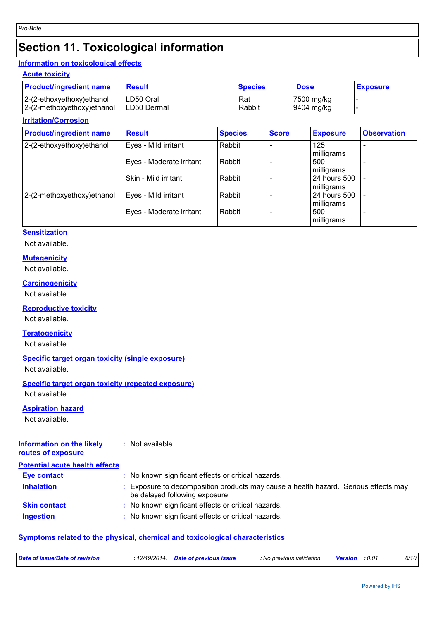## **Section 11. Toxicological information**

### **Information on toxicological effects**

### **Acute toxicity**

| <b>Product/ingredient name</b> | <b>Result</b> | <b>Species</b> | <b>Dose</b> | <b>Exposure</b> |
|--------------------------------|---------------|----------------|-------------|-----------------|
| 2-(2-ethoxyethoxy) ethanol     | LD50 Oral     | Rat            | 7500 mg/kg  |                 |
| 2-(2-methoxyethoxy)ethanol     | ILD50 Dermal  | Rabbit         | 9404 mg/kg  |                 |

### **Irritation/Corrosion**

| <b>Product/ingredient name</b> | <b>Result</b>            | <b>Species</b> | <b>Score</b> | <b>Exposure</b>            | <b>Observation</b>       |
|--------------------------------|--------------------------|----------------|--------------|----------------------------|--------------------------|
| 2-(2-ethoxyethoxy) ethanol     | Eyes - Mild irritant     | Rabbit         |              | 125<br>milligrams          |                          |
|                                | Eyes - Moderate irritant | Rabbit         |              | 500<br>milligrams          |                          |
|                                | Skin - Mild irritant     | Rabbit         |              | 24 hours 500<br>milligrams |                          |
| 2-(2-methoxyethoxy)ethanol     | Eyes - Mild irritant     | Rabbit         |              | 24 hours 500<br>milligrams | $\overline{\phantom{a}}$ |
|                                | Eyes - Moderate irritant | Rabbit         |              | 500<br>milligrams          | $\qquad \qquad$          |

### **Sensitization**

Not available.

### **Mutagenicity**

Not available.

## **Carcinogenicity**

Not available.

### **Reproductive toxicity**

Not available.

### **Teratogenicity**

Not available.

### **Specific target organ toxicity (single exposure)**

Not available.

### **Specific target organ toxicity (repeated exposure)**

Not available.

### **Aspiration hazard**

Not available.

#### **Information on the likely routes of exposure :** Not available

| <b>Potential acute health effects</b> |                                                                                                                     |
|---------------------------------------|---------------------------------------------------------------------------------------------------------------------|
| <b>Eye contact</b>                    | : No known significant effects or critical hazards.                                                                 |
| <b>Inhalation</b>                     | Exposure to decomposition products may cause a health hazard. Serious effects may<br>be delayed following exposure. |
| <b>Skin contact</b>                   | : No known significant effects or critical hazards.                                                                 |
| <b>Ingestion</b>                      | : No known significant effects or critical hazards.                                                                 |
|                                       |                                                                                                                     |

### **Symptoms related to the physical, chemical and toxicological characteristics**

| Date of issue/Date of revision | 12/19/2014. | Date of previous issue | : No previous validation. | <b>Version</b> | 6/10 |
|--------------------------------|-------------|------------------------|---------------------------|----------------|------|
|                                |             |                        |                           |                |      |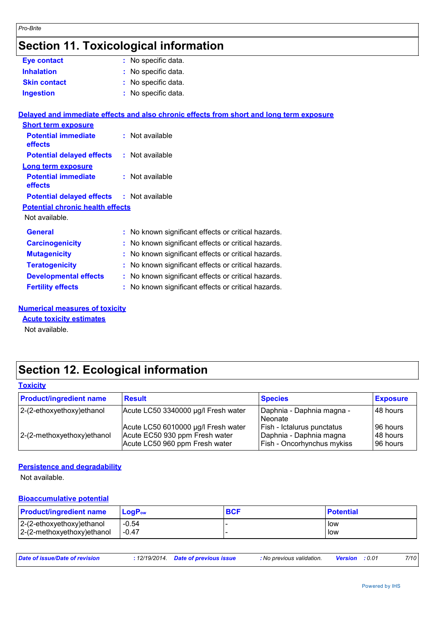## **Section 11. Toxicological information**

| <b>Eye contact</b>  | : No specific data. |
|---------------------|---------------------|
| <b>Inhalation</b>   | : No specific data. |
| <b>Skin contact</b> | : No specific data. |
| <b>Ingestion</b>    | : No specific data. |

|                                                  | Delayed and immediate effects and also chronic effects from short and long term exposure |  |  |  |  |
|--------------------------------------------------|------------------------------------------------------------------------------------------|--|--|--|--|
| <b>Short term exposure</b>                       |                                                                                          |  |  |  |  |
| <b>Potential immediate</b><br><b>effects</b>     | $:$ Not available                                                                        |  |  |  |  |
| <b>Potential delayed effects</b>                 | : Not available                                                                          |  |  |  |  |
| Long term exposure                               |                                                                                          |  |  |  |  |
| <b>Potential immediate</b><br>effects            | $:$ Not available                                                                        |  |  |  |  |
| <b>Potential delayed effects : Not available</b> |                                                                                          |  |  |  |  |
| <b>Potential chronic health effects</b>          |                                                                                          |  |  |  |  |
| Not available.                                   |                                                                                          |  |  |  |  |
| <b>General</b>                                   | : No known significant effects or critical hazards.                                      |  |  |  |  |
| <b>Carcinogenicity</b>                           | : No known significant effects or critical hazards.                                      |  |  |  |  |
| <b>Mutagenicity</b>                              | : No known significant effects or critical hazards.                                      |  |  |  |  |
| <b>Teratogenicity</b>                            | : No known significant effects or critical hazards.                                      |  |  |  |  |
| <b>Developmental effects</b>                     | : No known significant effects or critical hazards.                                      |  |  |  |  |
| <b>Fertility effects</b>                         | : No known significant effects or critical hazards.                                      |  |  |  |  |

### **Numerical measures of toxicity**

**Acute toxicity estimates**

Not available.

## **Section 12. Ecological information**

### **Toxicity**

| <b>Product/ingredient name</b> | <b>Result</b>                                                                                           | <b>Species</b>                                                                             | <b>Exposure</b>                  |
|--------------------------------|---------------------------------------------------------------------------------------------------------|--------------------------------------------------------------------------------------------|----------------------------------|
| $ 2-(2-ethoxyethoxy)ethanol$   | Acute LC50 3340000 µg/l Fresh water                                                                     | Daphnia - Daphnia magna -<br><b>Neonate</b>                                                | 48 hours                         |
| 2-(2-methoxyethoxy) ethanol    | Acute LC50 6010000 µg/l Fresh water<br>Acute EC50 930 ppm Fresh water<br>Acute LC50 960 ppm Fresh water | Fish - Ictalurus punctatus<br>Daphnia - Daphnia magna<br><b>Fish - Oncorhynchus mykiss</b> | 96 hours<br>48 hours<br>96 hours |

### **Persistence and degradability**

Not available.

### **Bioaccumulative potential**

| <b>Product/ingredient name</b> | $LoaPow$ | <b>BCF</b> | <b>Potential</b> |
|--------------------------------|----------|------------|------------------|
| $ 2-(2-ethoxyethoxy)ethanol$   | $-0.54$  |            | low              |
| 2-(2-methoxyethoxy) ethanol    | $-0.47$  |            | low              |

| Date of issue/Date of revision | : 12/19/2014 Date of previous issue | : No previous validation. | <b>Version</b> : 0.01 | 7/10 |
|--------------------------------|-------------------------------------|---------------------------|-----------------------|------|
|                                |                                     |                           |                       |      |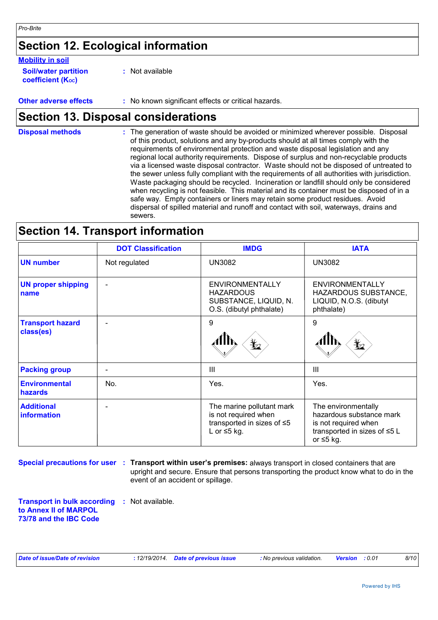## **Section 12. Ecological information**

### **Mobility in soil**

| <b>Soil/water partition</b> |  |
|-----------------------------|--|
| <b>coefficient (Koc)</b>    |  |

**:** Not available

**Other adverse effects :** No known significant effects or critical hazards.

## **Section 13. Disposal considerations**

The generation of waste should be avoided or minimized wherever possible. Disposal of this product, solutions and any by-products should at all times comply with the requirements of environmental protection and waste disposal legislation and any regional local authority requirements. Dispose of surplus and non-recyclable products via a licensed waste disposal contractor. Waste should not be disposed of untreated to the sewer unless fully compliant with the requirements of all authorities with jurisdiction. Waste packaging should be recycled. Incineration or landfill should only be considered when recycling is not feasible. This material and its container must be disposed of in a safe way. Empty containers or liners may retain some product residues. Avoid dispersal of spilled material and runoff and contact with soil, waterways, drains and sewers. **Disposal methods :**

## **Section 14. Transport information**

|                                        | <b>DOT Classification</b> | <b>IMDG</b>                                                                                          | <b>IATA</b>                                                                                                                |
|----------------------------------------|---------------------------|------------------------------------------------------------------------------------------------------|----------------------------------------------------------------------------------------------------------------------------|
| <b>UN number</b>                       | Not regulated             | <b>UN3082</b>                                                                                        | <b>UN3082</b>                                                                                                              |
| <b>UN proper shipping</b><br>name      |                           | <b>ENVIRONMENTALLY</b><br><b>HAZARDOUS</b><br>SUBSTANCE, LIQUID, N.<br>O.S. (dibutyl phthalate)      | <b>ENVIRONMENTALLY</b><br>HAZARDOUS SUBSTANCE,<br>LIQUID, N.O.S. (dibutyl<br>phthalate)                                    |
| <b>Transport hazard</b><br>class(es)   |                           | 9<br>⋭                                                                                               | 9<br>r 2                                                                                                                   |
| <b>Packing group</b>                   |                           | Ш                                                                                                    | III                                                                                                                        |
| <b>Environmental</b><br><b>hazards</b> | No.                       | Yes.                                                                                                 | Yes.                                                                                                                       |
| <b>Additional</b><br>information       | ۰                         | The marine pollutant mark<br>is not required when<br>transported in sizes of ≤5<br>L or $\leq$ 5 kg. | The environmentally<br>hazardous substance mark<br>is not required when<br>transported in sizes of ≤5 L<br>or $\leq 5$ kg. |

**Special precautions for user : Transport within user's premises: always transport in closed containers that are** upright and secure. Ensure that persons transporting the product know what to do in the event of an accident or spillage.

**Transport in bulk according :** Not available. **to Annex II of MARPOL 73/78 and the IBC Code**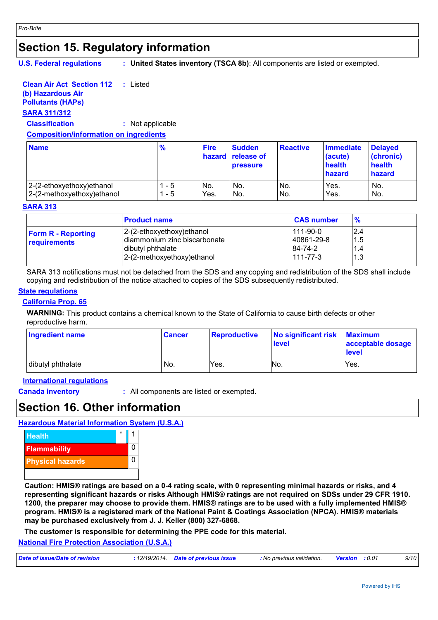## **Section 15. Regulatory information**

**U.S. Federal regulations**

**: United States inventory (TSCA 8b)**: All components are listed or exempted.

#### **Clean Air Act Section 112 :** Listed

### **(b) Hazardous Air**

## **Pollutants (HAPs)**

### **SARA 311/312**

**Classification :** Not applicable

### **Composition/information on ingredients**

| <b>Name</b>                 | $\frac{9}{6}$ | <b>Fire</b> | <b>Sudden</b><br>hazard release of<br><b>pressure</b> | <b>Reactive</b> | <b>Immediate</b><br>(acute)<br>health<br>hazard | <b>Delayed</b><br>(chronic)<br>health<br>hazard |
|-----------------------------|---------------|-------------|-------------------------------------------------------|-----------------|-------------------------------------------------|-------------------------------------------------|
| 2-(2-ethoxyethoxy) ethanol  | - 5           | No.         | No.                                                   | No.             | Yes.                                            | No.                                             |
| 2-(2-methoxyethoxy) ethanol | - 5           | Yes.        | No.                                                   | No.             | Yes.                                            | No.                                             |

### **SARA 313**

|                                           | <b>Product name</b>                                                                                            | <b>CAS number</b>                                     | $\frac{9}{6}$            |
|-------------------------------------------|----------------------------------------------------------------------------------------------------------------|-------------------------------------------------------|--------------------------|
| <b>Form R - Reporting</b><br>requirements | 2-(2-ethoxyethoxy) ethanol<br>diammonium zinc biscarbonate<br>dibutyl phthalate<br>2-(2-methoxyethoxy) ethanol | $111-90-0$<br>40861-29-8<br>84-74-2<br>$111 - 77 - 3$ | 2.4<br>1.5<br>1.4<br>1.3 |

SARA 313 notifications must not be detached from the SDS and any copying and redistribution of the SDS shall include copying and redistribution of the notice attached to copies of the SDS subsequently redistributed.

### **State regulations**

### **California Prop. 65**

**WARNING:** This product contains a chemical known to the State of California to cause birth defects or other reproductive harm.

| <b>Ingredient name</b> | <b>Cancer</b> | Reproductive | No significant risk<br><b>level</b> | <b>Maximum</b><br>acceptable dosage<br>level |
|------------------------|---------------|--------------|-------------------------------------|----------------------------------------------|
| dibutyl phthalate      | No.           | Yes.         | NO.                                 | Yes.                                         |

**International regulations**

**Canada inventory :** All components are listed or exempted.

## **Section 16. Other information**

### **Hazardous Material Information System (U.S.A.)**



**Caution: HMIS® ratings are based on a 0-4 rating scale, with 0 representing minimal hazards or risks, and 4 representing significant hazards or risks Although HMIS® ratings are not required on SDSs under 29 CFR 1910. 1200, the preparer may choose to provide them. HMIS® ratings are to be used with a fully implemented HMIS® program. HMIS® is a registered mark of the National Paint & Coatings Association (NPCA). HMIS® materials may be purchased exclusively from J. J. Keller (800) 327-6868.**

**The customer is responsible for determining the PPE code for this material.**

### **National Fire Protection Association (U.S.A.)**

| Date of issue/Date of revision | : 12/19/2014 Date of previous issue | : No previous validation. | <b>Version</b> : 0.01 | 9/10 |
|--------------------------------|-------------------------------------|---------------------------|-----------------------|------|
|                                |                                     |                           |                       |      |